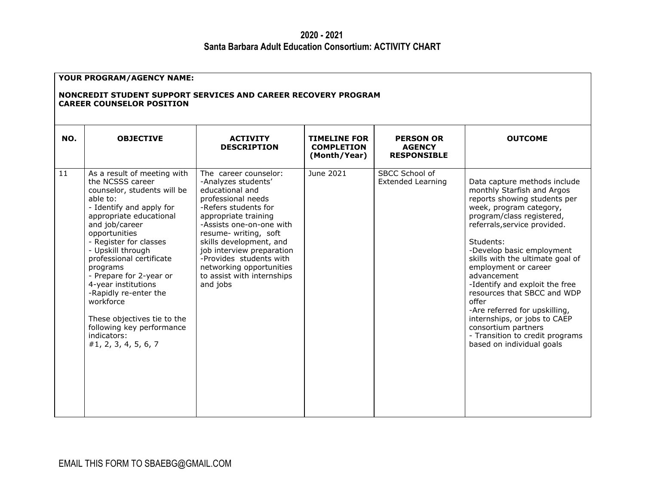## **2020 - 2021 Santa Barbara Adult Education Consortium: ACTIVITY CHART**

| YOUR PROGRAM/AGENCY NAME:<br>NONCREDIT STUDENT SUPPORT SERVICES AND CAREER RECOVERY PROGRAM<br><b>CAREER COUNSELOR POSITION</b> |                                                                                                                                                                                                                                                                                                                                                                                                                                                                        |                                                                                                                                                                                                                                                                                                                                                     |                                                          |                                                         |                                                                                                                                                                                                                                                                                                                                                                                                                                                                                                                                           |  |  |  |  |  |
|---------------------------------------------------------------------------------------------------------------------------------|------------------------------------------------------------------------------------------------------------------------------------------------------------------------------------------------------------------------------------------------------------------------------------------------------------------------------------------------------------------------------------------------------------------------------------------------------------------------|-----------------------------------------------------------------------------------------------------------------------------------------------------------------------------------------------------------------------------------------------------------------------------------------------------------------------------------------------------|----------------------------------------------------------|---------------------------------------------------------|-------------------------------------------------------------------------------------------------------------------------------------------------------------------------------------------------------------------------------------------------------------------------------------------------------------------------------------------------------------------------------------------------------------------------------------------------------------------------------------------------------------------------------------------|--|--|--|--|--|
| NO.                                                                                                                             | <b>OBJECTIVE</b>                                                                                                                                                                                                                                                                                                                                                                                                                                                       | <b>ACTIVITY</b><br><b>DESCRIPTION</b>                                                                                                                                                                                                                                                                                                               | <b>TIMELINE FOR</b><br><b>COMPLETION</b><br>(Month/Year) | <b>PERSON OR</b><br><b>AGENCY</b><br><b>RESPONSIBLE</b> | <b>OUTCOME</b>                                                                                                                                                                                                                                                                                                                                                                                                                                                                                                                            |  |  |  |  |  |
| 11                                                                                                                              | As a result of meeting with<br>the NCSSS career<br>counselor, students will be<br>able to:<br>- Identify and apply for<br>appropriate educational<br>and job/career<br>opportunities<br>- Register for classes<br>- Upskill through<br>professional certificate<br>programs<br>- Prepare for 2-year or<br>4-year institutions<br>-Rapidly re-enter the<br>workforce<br>These objectives tie to the<br>following key performance<br>indicators:<br>#1, 2, 3, 4, 5, 6, 7 | The career counselor:<br>-Analyzes students'<br>educational and<br>professional needs<br>-Refers students for<br>appropriate training<br>-Assists one-on-one with<br>resume- writing, soft<br>skills development, and<br>job interview preparation<br>-Provides students with<br>networking opportunities<br>to assist with internships<br>and jobs | June 2021                                                | SBCC School of<br><b>Extended Learning</b>              | Data capture methods include<br>monthly Starfish and Argos<br>reports showing students per<br>week, program category,<br>program/class registered,<br>referrals, service provided.<br>Students:<br>-Develop basic employment<br>skills with the ultimate goal of<br>employment or career<br>advancement<br>-Identify and exploit the free<br>resources that SBCC and WDP<br>offer<br>-Are referred for upskilling,<br>internships, or jobs to CAEP<br>consortium partners<br>- Transition to credit programs<br>based on individual goals |  |  |  |  |  |